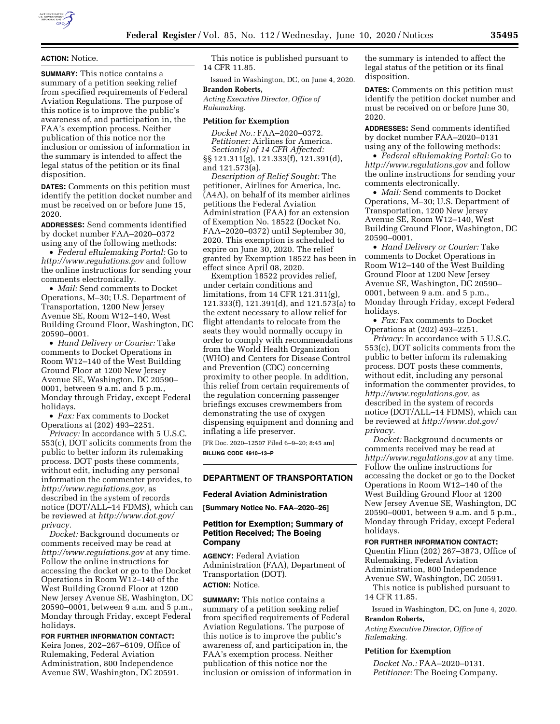

# **ACTION:** Notice.

**SUMMARY:** This notice contains a summary of a petition seeking relief from specified requirements of Federal Aviation Regulations. The purpose of this notice is to improve the public's awareness of, and participation in, the FAA's exemption process. Neither publication of this notice nor the inclusion or omission of information in the summary is intended to affect the legal status of the petition or its final disposition.

**DATES:** Comments on this petition must identify the petition docket number and must be received on or before June 15, 2020.

**ADDRESSES:** Send comments identified by docket number FAA–2020–0372 using any of the following methods:

• *Federal eRulemaking Portal:* Go to *<http://www.regulations.gov>* and follow the online instructions for sending your comments electronically.

• *Mail:* Send comments to Docket Operations, M–30; U.S. Department of Transportation, 1200 New Jersey Avenue SE, Room W12–140, West Building Ground Floor, Washington, DC 20590–0001.

• *Hand Delivery or Courier:* Take comments to Docket Operations in Room W12–140 of the West Building Ground Floor at 1200 New Jersey Avenue SE, Washington, DC 20590– 0001, between 9 a.m. and 5 p.m., Monday through Friday, except Federal holidays.

• *Fax:* Fax comments to Docket Operations at (202) 493–2251.

*Privacy:* In accordance with 5 U.S.C. 553(c), DOT solicits comments from the public to better inform its rulemaking process. DOT posts these comments, without edit, including any personal information the commenter provides, to *[http://www.regulations.gov,](http://www.regulations.gov)* as described in the system of records notice (DOT/ALL–14 FDMS), which can be reviewed at *[http://www.dot.gov/](http://www.dot.gov/privacy)  [privacy.](http://www.dot.gov/privacy)* 

*Docket:* Background documents or comments received may be read at *<http://www.regulations.gov>* at any time. Follow the online instructions for accessing the docket or go to the Docket Operations in Room W12–140 of the West Building Ground Floor at 1200 New Jersey Avenue SE, Washington, DC 20590–0001, between 9 a.m. and 5 p.m., Monday through Friday, except Federal holidays.

**FOR FURTHER INFORMATION CONTACT:**  Keira Jones, 202–267–6109, Office of Rulemaking, Federal Aviation Administration, 800 Independence Avenue SW, Washington, DC 20591.

This notice is published pursuant to 14 CFR 11.85.

Issued in Washington, DC, on June 4, 2020. **Brandon Roberts,** 

*Acting Executive Director, Office of Rulemaking.* 

#### **Petition for Exemption**

*Docket No.:* FAA–2020–0372. *Petitioner:* Airlines for America. *Section(s) of 14 CFR Affected:*  §§ 121.311(g), 121.333(f), 121.391(d),

and 121.573(a).

*Description of Relief Sought:* The petitioner, Airlines for America, Inc. (A4A), on behalf of its member airlines petitions the Federal Aviation Administration (FAA) for an extension of Exemption No. 18522 (Docket No. FAA–2020–0372) until September 30, 2020. This exemption is scheduled to expire on June 30, 2020. The relief granted by Exemption 18522 has been in effect since April 08, 2020.

Exemption 18522 provides relief, under certain conditions and limitations, from 14 CFR 121.311(g), 121.333(f), 121.391(d), and 121.573(a) to the extent necessary to allow relief for flight attendants to relocate from the seats they would normally occupy in order to comply with recommendations from the World Health Organization (WHO) and Centers for Disease Control and Prevention (CDC) concerning proximity to other people. In addition, this relief from certain requirements of the regulation concerning passenger briefings excuses crewmembers from demonstrating the use of oxygen dispensing equipment and donning and inflating a life preserver.

[FR Doc. 2020–12507 Filed 6–9–20; 8:45 am] **BILLING CODE 4910–13–P** 

## **DEPARTMENT OF TRANSPORTATION**

#### **Federal Aviation Administration**

**[Summary Notice No. FAA–2020–26]** 

## **Petition for Exemption; Summary of Petition Received; The Boeing Company**

**AGENCY:** Federal Aviation Administration (FAA), Department of Transportation (DOT). **ACTION:** Notice.

**SUMMARY:** This notice contains a summary of a petition seeking relief from specified requirements of Federal Aviation Regulations. The purpose of this notice is to improve the public's awareness of, and participation in, the FAA's exemption process. Neither publication of this notice nor the inclusion or omission of information in the summary is intended to affect the legal status of the petition or its final disposition.

**DATES:** Comments on this petition must identify the petition docket number and must be received on or before June 30, 2020.

**ADDRESSES:** Send comments identified by docket number FAA–2020–0131 using any of the following methods:

• *Federal eRulemaking Portal:* Go to *<http://www.regulations.gov>* and follow the online instructions for sending your comments electronically.

• *Mail:* Send comments to Docket Operations, M–30; U.S. Department of Transportation, 1200 New Jersey Avenue SE, Room W12–140, West Building Ground Floor, Washington, DC 20590–0001.

• *Hand Delivery or Courier:* Take comments to Docket Operations in Room W12–140 of the West Building Ground Floor at 1200 New Jersey Avenue SE, Washington, DC 20590– 0001, between 9 a.m. and 5 p.m., Monday through Friday, except Federal holidays.

• *Fax:* Fax comments to Docket Operations at (202) 493–2251.

*Privacy:* In accordance with 5 U.S.C. 553(c), DOT solicits comments from the public to better inform its rulemaking process. DOT posts these comments, without edit, including any personal information the commenter provides, to *[http://www.regulations.gov,](http://www.regulations.gov)* as described in the system of records notice (DOT/ALL–14 FDMS), which can be reviewed at *[http://www.dot.gov/](http://www.dot.gov/privacy)  [privacy.](http://www.dot.gov/privacy)* 

*Docket:* Background documents or comments received may be read at *<http://www.regulations.gov>* at any time. Follow the online instructions for accessing the docket or go to the Docket Operations in Room W12–140 of the West Building Ground Floor at 1200 New Jersey Avenue SE, Washington, DC 20590–0001, between 9 a.m. and 5 p.m., Monday through Friday, except Federal holidays.

## **FOR FURTHER INFORMATION CONTACT:**

Quentin Flinn (202) 267–3873, Office of Rulemaking, Federal Aviation Administration, 800 Independence Avenue SW, Washington, DC 20591.

This notice is published pursuant to 14 CFR 11.85.

Issued in Washington, DC, on June 4, 2020.

# **Brandon Roberts,**

*Acting Executive Director, Office of Rulemaking.* 

#### **Petition for Exemption**

*Docket No.:* FAA–2020–0131. *Petitioner:* The Boeing Company.